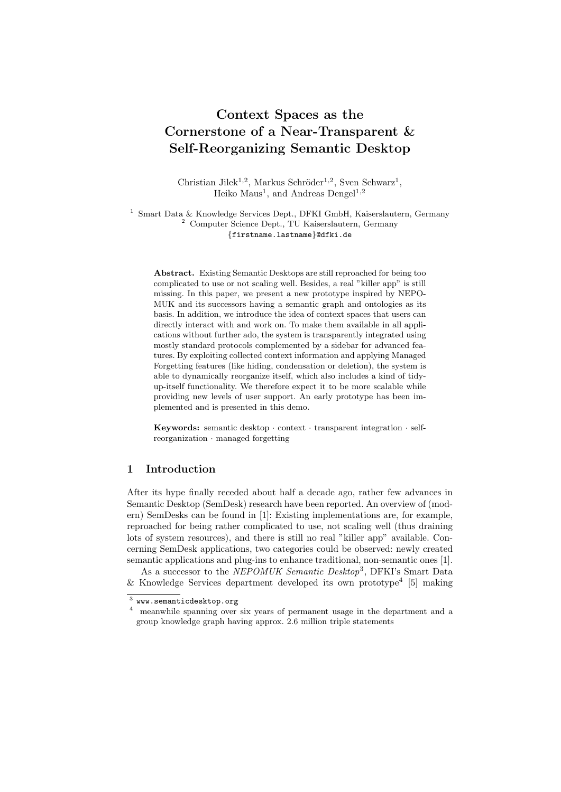# Context Spaces as the Cornerstone of a Near-Transparent & Self-Reorganizing Semantic Desktop

Christian Jilek<sup>1,2</sup>, Markus Schröder<sup>1,2</sup>, Sven Schwarz<sup>1</sup>, Heiko Maus<sup>1</sup>, and Andreas Dengel<sup>1,2</sup>

<sup>1</sup> Smart Data & Knowledge Services Dept., DFKI GmbH, Kaiserslautern, Germany <sup>2</sup> Computer Science Dept., TU Kaiserslautern, Germany {firstname.lastname}@dfki.de

Abstract. Existing Semantic Desktops are still reproached for being too complicated to use or not scaling well. Besides, a real "killer app" is still missing. In this paper, we present a new prototype inspired by NEPO-MUK and its successors having a semantic graph and ontologies as its basis. In addition, we introduce the idea of context spaces that users can directly interact with and work on. To make them available in all applications without further ado, the system is transparently integrated using mostly standard protocols complemented by a sidebar for advanced features. By exploiting collected context information and applying Managed Forgetting features (like hiding, condensation or deletion), the system is able to dynamically reorganize itself, which also includes a kind of tidyup-itself functionality. We therefore expect it to be more scalable while providing new levels of user support. An early prototype has been implemented and is presented in this demo.

**Keywords:** semantic desktop  $\cdot$  context  $\cdot$  transparent integration  $\cdot$  selfreorganization · managed forgetting

### 1 Introduction

After its hype finally receded about half a decade ago, rather few advances in Semantic Desktop (SemDesk) research have been reported. An overview of (modern) SemDesks can be found in [\[1\]](#page-4-0): Existing implementations are, for example, reproached for being rather complicated to use, not scaling well (thus draining lots of system resources), and there is still no real "killer app" available. Concerning SemDesk applications, two categories could be observed: newly created semantic applications and plug-ins to enhance traditional, non-semantic ones [\[1\]](#page-4-0).

As a successor to the NEPOMUK Semantic Desktop<sup>[3](#page-0-0)</sup>, DFKI's Smart Data & Knowledge Services department developed its own prototype[4](#page-0-1) [\[5\]](#page-4-1) making

<span id="page-0-0"></span> $^3$  <www.semanticdesktop.org>

<span id="page-0-1"></span><sup>4</sup> meanwhile spanning over six years of permanent usage in the department and a group knowledge graph having approx. 2.6 million triple statements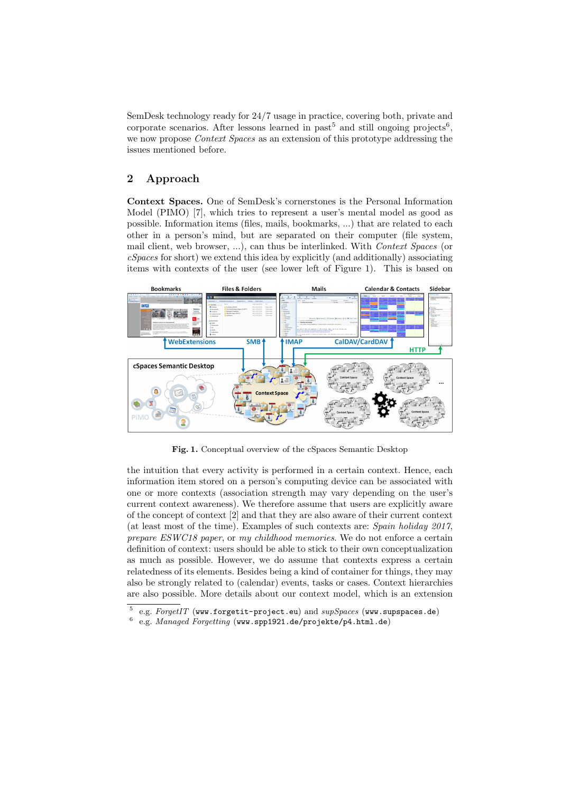SemDesk technology ready for 24/7 usage in practice, covering both, private and corporate scenarios. After lessons learned in past<sup>[5](#page-1-0)</sup> and still ongoing projects<sup>[6](#page-1-1)</sup>, we now propose *Context Spaces* as an extension of this prototype addressing the issues mentioned before.

## 2 Approach

Context Spaces. One of SemDesk's cornerstones is the Personal Information Model (PIMO) [\[7\]](#page-4-2), which tries to represent a user's mental model as good as possible. Information items (files, mails, bookmarks, ...) that are related to each other in a person's mind, but are separated on their computer (file system, mail client, web browser, ...), can thus be interlinked. With Context Spaces (or cSpaces for short) we extend this idea by explicitly (and additionally) associating items with contexts of the user (see lower left of Figure [1\)](#page-1-2). This is based on



<span id="page-1-2"></span>Fig. 1. Conceptual overview of the cSpaces Semantic Desktop

the intuition that every activity is performed in a certain context. Hence, each information item stored on a person's computing device can be associated with one or more contexts (association strength may vary depending on the user's current context awareness). We therefore assume that users are explicitly aware of the concept of context [\[2\]](#page-4-3) and that they are also aware of their current context (at least most of the time). Examples of such contexts are: Spain holiday 2017, prepare ESWC18 paper, or my childhood memories. We do not enforce a certain definition of context: users should be able to stick to their own conceptualization as much as possible. However, we do assume that contexts express a certain relatedness of its elements. Besides being a kind of container for things, they may also be strongly related to (calendar) events, tasks or cases. Context hierarchies are also possible. More details about our context model, which is an extension

<span id="page-1-0"></span> $5$  e.g.  $\emph{ForgetIT}$  (<www.forgetit-project.eu>) and  $\emph{supSpaces}$  (<www.supspaces.de>)

<span id="page-1-1"></span> $6$  e.g.  $Management$   $Forgetting$  (<www.spp1921.de/projekte/p4.html.de>)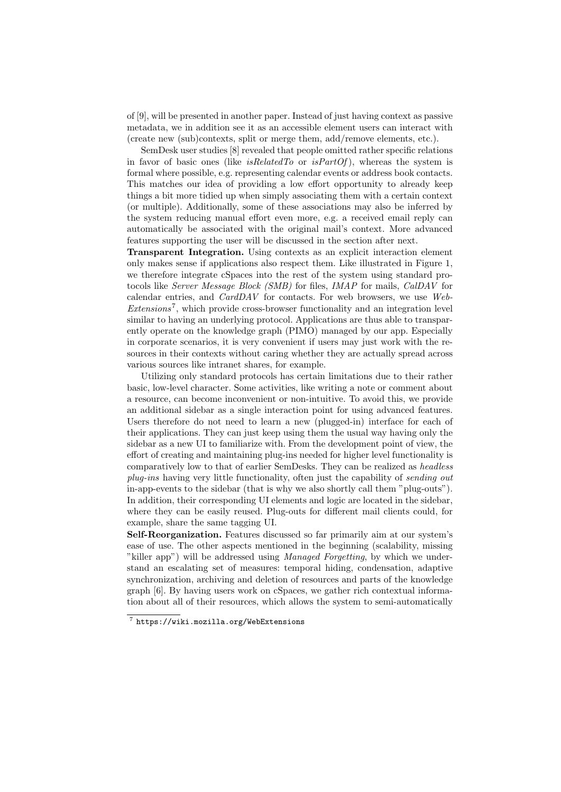of [\[9\]](#page-4-4), will be presented in another paper. Instead of just having context as passive metadata, we in addition see it as an accessible element users can interact with (create new (sub)contexts, split or merge them, add/remove elements, etc.).

SemDesk user studies [\[8\]](#page-4-5) revealed that people omitted rather specific relations in favor of basic ones (like *isRelatedTo* or *isPartOf*), whereas the system is formal where possible, e.g. representing calendar events or address book contacts. This matches our idea of providing a low effort opportunity to already keep things a bit more tidied up when simply associating them with a certain context (or multiple). Additionally, some of these associations may also be inferred by the system reducing manual effort even more, e.g. a received email reply can automatically be associated with the original mail's context. More advanced features supporting the user will be discussed in the section after next.

Transparent Integration. Using contexts as an explicit interaction element only makes sense if applications also respect them. Like illustrated in Figure [1,](#page-1-2) we therefore integrate cSpaces into the rest of the system using standard protocols like Server Message Block (SMB) for files, IMAP for mails, CalDAV for calendar entries, and CardDAV for contacts. For web browsers, we use Web-Extensions[7](#page-2-0) , which provide cross-browser functionality and an integration level similar to having an underlying protocol. Applications are thus able to transparently operate on the knowledge graph (PIMO) managed by our app. Especially in corporate scenarios, it is very convenient if users may just work with the resources in their contexts without caring whether they are actually spread across various sources like intranet shares, for example.

Utilizing only standard protocols has certain limitations due to their rather basic, low-level character. Some activities, like writing a note or comment about a resource, can become inconvenient or non-intuitive. To avoid this, we provide an additional sidebar as a single interaction point for using advanced features. Users therefore do not need to learn a new (plugged-in) interface for each of their applications. They can just keep using them the usual way having only the sidebar as a new UI to familiarize with. From the development point of view, the effort of creating and maintaining plug-ins needed for higher level functionality is comparatively low to that of earlier SemDesks. They can be realized as headless plug-ins having very little functionality, often just the capability of sending out in-app-events to the sidebar (that is why we also shortly call them "plug-outs"). In addition, their corresponding UI elements and logic are located in the sidebar, where they can be easily reused. Plug-outs for different mail clients could, for example, share the same tagging UI.

Self-Reorganization. Features discussed so far primarily aim at our system's ease of use. The other aspects mentioned in the beginning (scalability, missing "killer app") will be addressed using *Managed Forgetting*, by which we understand an escalating set of measures: temporal hiding, condensation, adaptive synchronization, archiving and deletion of resources and parts of the knowledge graph [\[6\]](#page-4-6). By having users work on cSpaces, we gather rich contextual information about all of their resources, which allows the system to semi-automatically

<span id="page-2-0"></span><sup>7</sup> <https://wiki.mozilla.org/WebExtensions>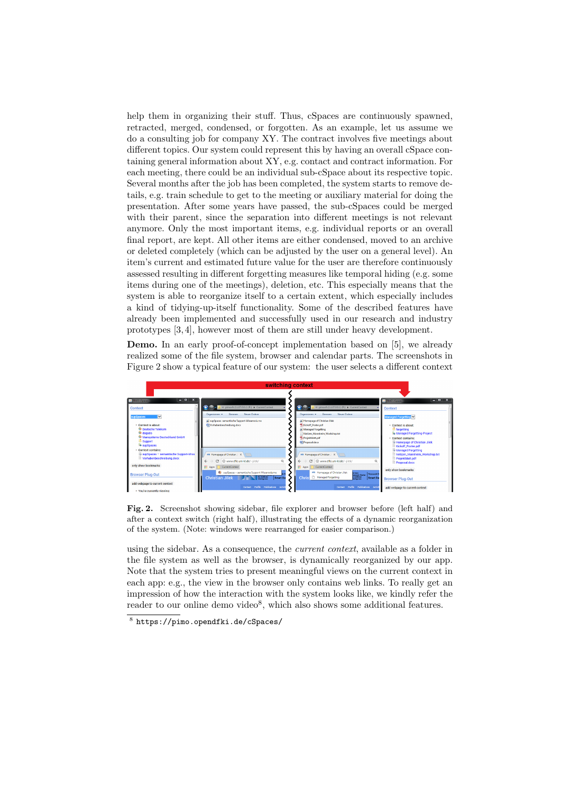help them in organizing their stuff. Thus, cSpaces are continuously spawned, retracted, merged, condensed, or forgotten. As an example, let us assume we do a consulting job for company XY. The contract involves five meetings about different topics. Our system could represent this by having an overall cSpace containing general information about XY, e.g. contact and contract information. For each meeting, there could be an individual sub-cSpace about its respective topic. Several months after the job has been completed, the system starts to remove details, e.g. train schedule to get to the meeting or auxiliary material for doing the presentation. After some years have passed, the sub-cSpaces could be merged with their parent, since the separation into different meetings is not relevant anymore. Only the most important items, e.g. individual reports or an overall final report, are kept. All other items are either condensed, moved to an archive or deleted completely (which can be adjusted by the user on a general level). An item's current and estimated future value for the user are therefore continuously assessed resulting in different forgetting measures like temporal hiding (e.g. some items during one of the meetings), deletion, etc. This especially means that the system is able to reorganize itself to a certain extent, which especially includes a kind of tidying-up-itself functionality. Some of the described features have already been implemented and successfully used in our research and industry prototypes [\[3,](#page-4-7) [4\]](#page-4-8), however most of them are still under heavy development.

Demo. In an early proof-of-concept implementation based on [\[5\]](#page-4-1), we already realized some of the file system, browser and calendar parts. The screenshots in Figure [2](#page-3-0) show a typical feature of our system: the user selects a different context



<span id="page-3-0"></span>Fig. 2. Screenshot showing sidebar, file explorer and browser before (left half) and after a context switch (right half), illustrating the effects of a dynamic reorganization of the system. (Note: windows were rearranged for easier comparison.)

using the sidebar. As a consequence, the current context, available as a folder in the file system as well as the browser, is dynamically reorganized by our app. Note that the system tries to present meaningful views on the current context in each app: e.g., the view in the browser only contains web links. To really get an impression of how the interaction with the system looks like, we kindly refer the reader to our online demo video<sup>[8](#page-3-1)</sup>, which also shows some additional features.

<span id="page-3-1"></span> $^8$  <https://pimo.opendfki.de/cSpaces/>